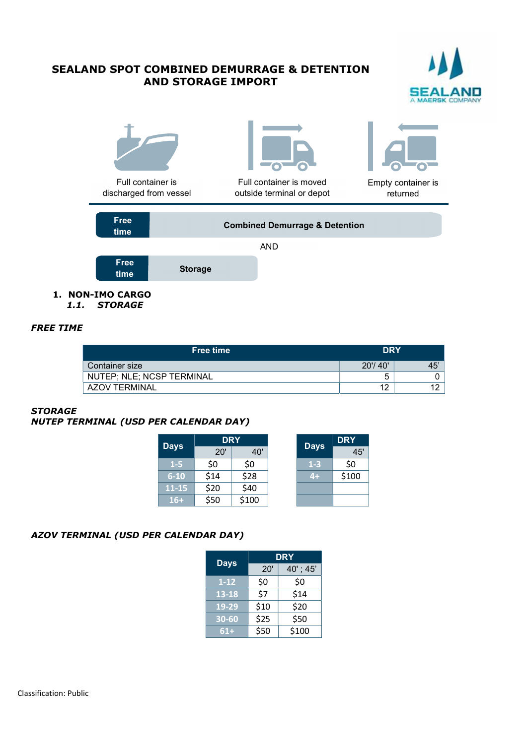# SEALAND SPOT COMBINED DEMURRAGE & DETENTION AND STORAGE IMPORT





1.1. STORAGE

## FREE TIME

| <b>Free time</b>          | <b>DRY</b> |          |
|---------------------------|------------|----------|
| Container size            | 20'/40'    | 45'      |
| NUTEP; NLE; NCSP TERMINAL |            |          |
| AZOV TERMINAL             | 12<br>' 4  | ៱<br>۱Ź. |

#### **STORAGE**

#### NUTEP TERMINAL (USD PER CALENDAR DAY)

| <b>Days</b> | <b>DRY</b> |       | <b>Days</b> | <b>DRY</b> |
|-------------|------------|-------|-------------|------------|
|             | 20'        | 40'   |             | 45'        |
| $1-5$       | \$0        | \$0   | $1-3$       | \$0        |
| $6 - 10$    | \$14       | \$28  | $4+$        | \$100      |
| $11-15$     | \$20       | \$40  |             |            |
| $16+$       | \$50       | \$100 |             |            |

## AZOV TERMINAL (USD PER CALENDAR DAY)

|             | <b>DRY</b> |          |
|-------------|------------|----------|
| <b>Days</b> | 20'        | 40'; 45' |
| $1 - 12$    | \$0        | \$0      |
| 13-18       | <b>\$7</b> | \$14     |
| 19-29       | \$10       | \$20     |
| $30 - 60$   | \$25       | \$50     |
| $61+$       | \$50       | \$100    |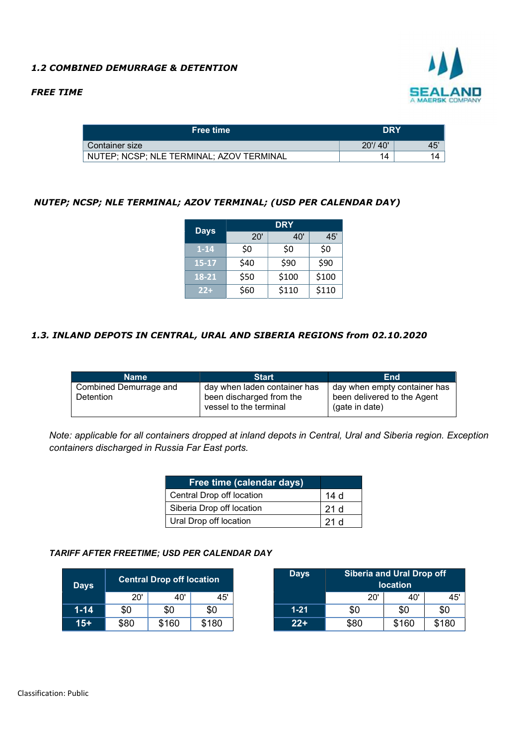## 1.2 COMBINED DEMURRAGE & DETENTION

#### FREE TIME



| <b>Free time</b>                         | <b>DRY</b>     |                      |
|------------------------------------------|----------------|----------------------|
| Container size                           | 20'/40'        | $\overline{ }$<br>45 |
| NUTEP; NCSP; NLE TERMINAL; AZOV TERMINAL | $\overline{a}$ | 14                   |

## NUTEP; NCSP; NLE TERMINAL; AZOV TERMINAL; (USD PER CALENDAR DAY)

| <b>Days</b> |      | <b>DRY</b> |       |
|-------------|------|------------|-------|
|             | 20'  | 40'        | 45'   |
| $1 - 14$    | \$0  | \$0        | \$0   |
| $15 - 17$   | \$40 | \$90       | \$90  |
| 18-21       | \$50 | \$100      | \$100 |
| $22+$       | \$60 | \$110      | \$110 |

## 1.3. INLAND DEPOTS IN CENTRAL, URAL AND SIBERIA REGIONS from 02.10.2020

| day when laden container has<br>Combined Demurrage and<br>day when empty container has<br>been delivered to the Agent<br>Detention<br>been discharged from the<br>vessel to the terminal<br>(gate in date) |
|------------------------------------------------------------------------------------------------------------------------------------------------------------------------------------------------------------|

Note: applicable for all containers dropped at inland depots in Central, Ural and Siberia region. Exception containers discharged in Russia Far East ports.

| Free time (calendar days) |       |
|---------------------------|-------|
| Central Drop off location | 14 d  |
| Siberia Drop off location | -21 d |
| Ural Drop off location    | 21d   |

#### TARIFF AFTER FREETIME; USD PER CALENDAR DAY

| Days     | <b>Central Drop off location</b> |       | <b>Days</b> | <b>Siberia and Ural Drop off</b><br><b>location</b> |      |       |       |
|----------|----------------------------------|-------|-------------|-----------------------------------------------------|------|-------|-------|
|          | $20^{\circ}$                     | 40'   | 45'         |                                                     | 20'  | 40'   | 45'   |
| $1 - 14$ | \$0                              | \$0   | \$0         | $1 - 21$                                            | \$0  | \$0   | \$0   |
| $15+$    | \$80                             | \$160 | \$180       | $22 +$                                              | \$80 | \$160 | \$180 |